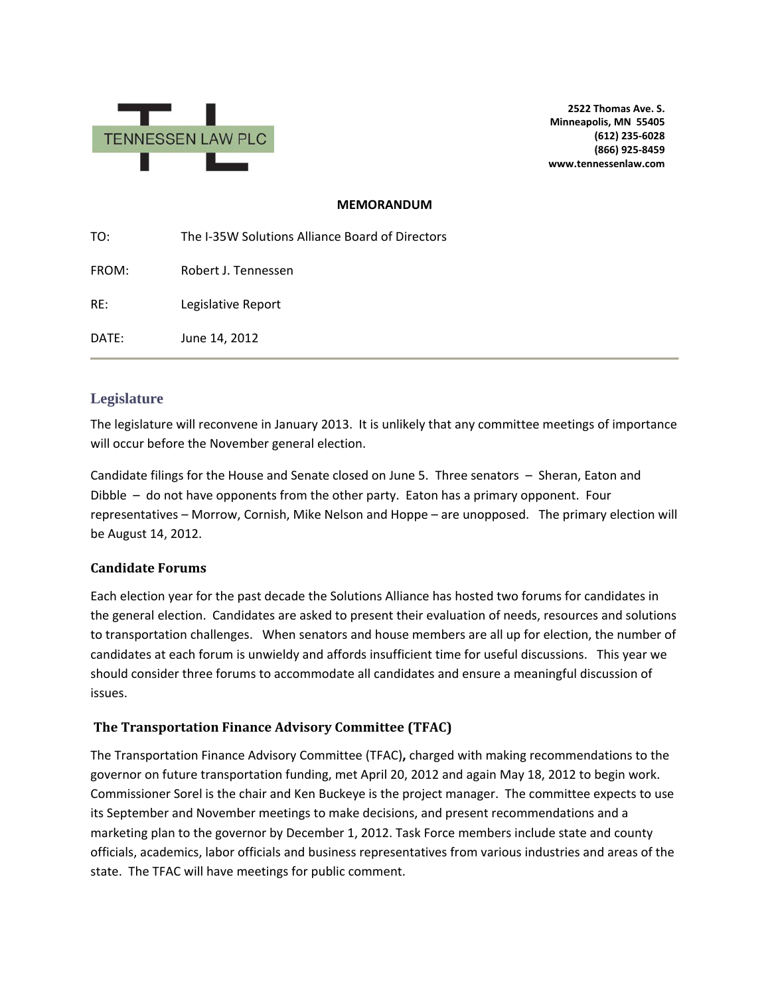

**2522 Thomas Ave. S. Minneapolis, MN 55405 (612) 235-6028 (866) 925-8459 www.tennessenlaw.com**

#### **MEMORANDUM**

| TO:   | The I-35W Solutions Alliance Board of Directors |
|-------|-------------------------------------------------|
| FROM: | Robert J. Tennessen                             |
| RE:   | Legislative Report                              |
| DATE: | June 14, 2012                                   |

## **Legislature**

The legislature will reconvene in January 2013. It is unlikely that any committee meetings of importance will occur before the November general election.

Candidate filings for the House and Senate closed on June 5. Three senators – Sheran, Eaton and Dibble – do not have opponents from the other party. Eaton has a primary opponent. Four representatives – Morrow, Cornish, Mike Nelson and Hoppe – are unopposed. The primary election will be August 14, 2012.

### **Candidate Forums**

Each election year for the past decade the Solutions Alliance has hosted two forums for candidates in the general election. Candidates are asked to present their evaluation of needs, resources and solutions to transportation challenges. When senators and house members are all up for election, the number of candidates at each forum is unwieldy and affords insufficient time for useful discussions. This year we should consider three forums to accommodate all candidates and ensure a meaningful discussion of issues.

### **The Transportation Finance Advisory Committee (TFAC)**

The Transportation Finance Advisory Committee (TFAC)**,** charged with making recommendations to the governor on future transportation funding, met April 20, 2012 and again May 18, 2012 to begin work. Commissioner Sorel is the chair and Ken Buckeye is the project manager. The committee expects to use its September and November meetings to make decisions, and present recommendations and a marketing plan to the governor by December 1, 2012. Task Force members include state and county officials, academics, labor officials and business representatives from various industries and areas of the state. The TFAC will have meetings for public comment.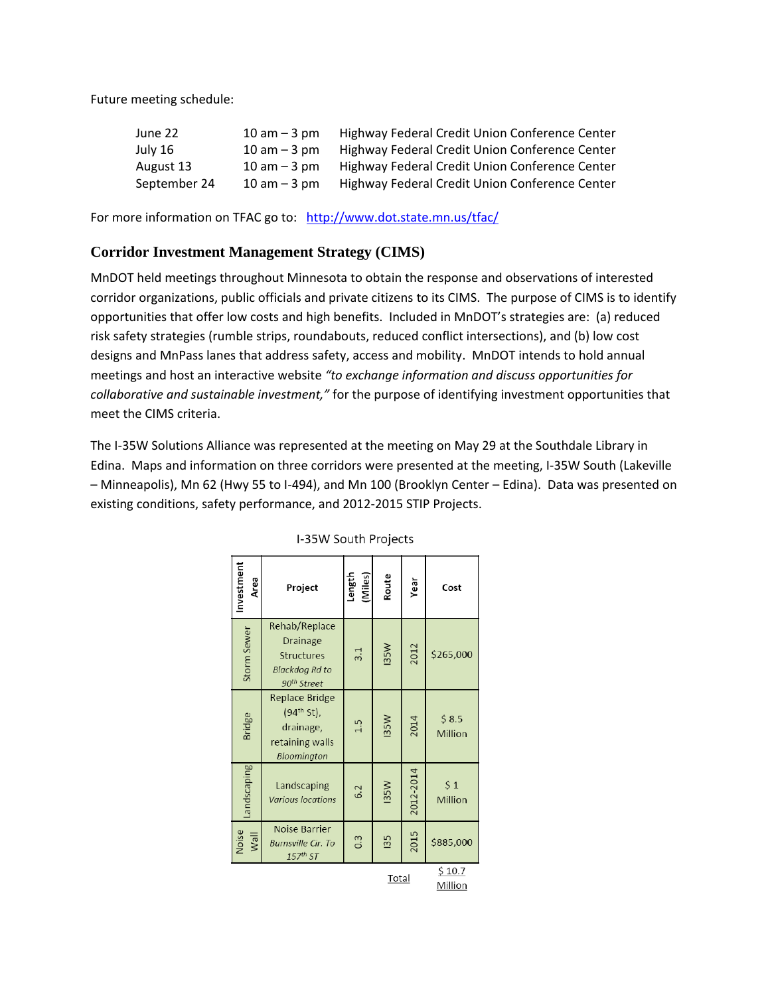Future meeting schedule:

| June 22      | $10$ am $-3$ pm  | Highway Federal Credit Union Conference Center |
|--------------|------------------|------------------------------------------------|
| July 16      | $10$ am $-$ 3 pm | Highway Federal Credit Union Conference Center |
| August 13    | $10$ am $-$ 3 pm | Highway Federal Credit Union Conference Center |
| September 24 | $10$ am $-$ 3 pm | Highway Federal Credit Union Conference Center |

For more information on TFAC go to:<http://www.dot.state.mn.us/tfac/>

# **Corridor Investment Management Strategy (CIMS)**

MnDOT held meetings throughout Minnesota to obtain the response and observations of interested corridor organizations, public officials and private citizens to its CIMS. The purpose of CIMS is to identify opportunities that offer low costs and high benefits. Included in MnDOT's strategies are: (a) reduced risk safety strategies (rumble strips, roundabouts, reduced conflict intersections), and (b) low cost designs and MnPass lanes that address safety, access and mobility. MnDOT intends to hold annual meetings and host an interactive website *"to exchange information and discuss opportunities for collaborative and sustainable investment,"* for the purpose of identifying investment opportunities that meet the CIMS criteria.

The I-35W Solutions Alliance was represented at the meeting on May 29 at the Southdale Library in Edina. Maps and information on three corridors were presented at the meeting, I-35W South (Lakeville – Minneapolis), Mn 62 (Hwy 55 to I-494), and Mn 100 (Brooklyn Center – Edina). Data was presented on existing conditions, safety performance, and 2012-2015 STIP Projects.

| Investment<br>Area | Project                                                                                     | Length<br>(Miles) | Route       | Year      | Cost              |
|--------------------|---------------------------------------------------------------------------------------------|-------------------|-------------|-----------|-------------------|
| Storm Sewer        | Rehab/Replace<br>Drainage<br>Structures<br><b>Blackdog Rd to</b><br>90 <sup>th</sup> Street | 3.1               | I35W        | 2012      | \$265,000         |
| <b>Bridge</b>      | <b>Replace Bridge</b><br>$(94th St)$ ,<br>drainage,<br>retaining walls<br>Bloomington       | 1.5               | <b>I35W</b> | 2014      | \$8.5<br>Million  |
| Landscaping        | Landscaping<br><b>Various locations</b>                                                     | 6.2               | <b>I35W</b> | 2012-2014 | \$1<br>Million    |
| Noise<br>Wall      | Noise Barrier<br><b>Burnsville Cir. To</b><br>$157th$ ST                                    | $0.\overline{3}$  | <b>135</b>  | 2015      | \$885,000         |
| Total              |                                                                                             |                   |             |           | \$10.7<br>Million |

I-35W South Projects